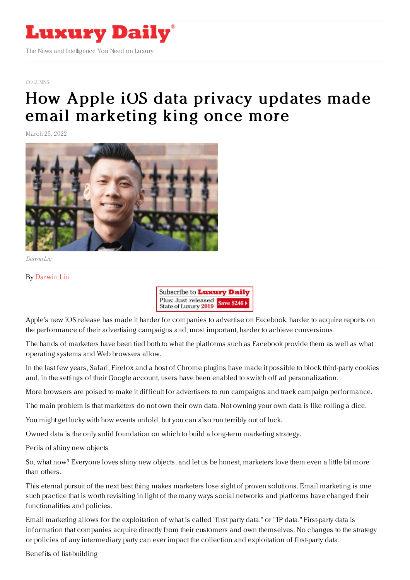

## [COLUMNS](https://www.luxurydaily.com/category/opinion/columns/)

## How Apple iOS data privacy updates made email [marketing](https://www.luxurydaily.com/how-apple-ios-data-privacy-updates-made-email-marketing-king-once-more/) king once more

March 25, 2022



Darwin Liu

## By [Darwin](https://xagency.com/) Liu



Apple's new iOS release has made it harder for companies to advertise on Facebook, harder to acquire reports on the performance of their advertising campaigns and, most important, harder to achieve conversions.

The hands of marketers have been tied both to what the platforms such as Facebook provide them as well as what operating systems and Web browsers allow.

In the last few years, Safari, Firefox and a host of Chrome plugins have made it possible to block third-party cookies and, in the settings of their Google account, users have been enabled to switch off ad personalization.

More browsers are poised to make it difficult for advertisers to run campaigns and track campaign performance.

The main problem is that marketers do not own their own data. Not owning your own data is like rolling a dice.

You might get lucky with how events unfold, but you can also run terribly out of luck.

Owned data is the only solid foundation on which to build a long-term marketing strategy.

Perils of shiny new objects

So, what now? Everyone loves shiny new objects, and let us be honest, marketers love them even a little bit more than others.

This eternal pursuit of the next best thing makes marketers lose sight of proven solutions. Email marketing is one such practice that is worth revisiting in light of the many ways social networks and platforms have changed their functionalities and policies.

Email marketing allows for the exploitation of what is called "first party data," or "1P data." First-party data is information that companies acquire directly from their customers and own themselves. No changes to the strategy or policies of any intermediary party can ever impact the collection and exploitation of first-party data.

Benefits of list-building